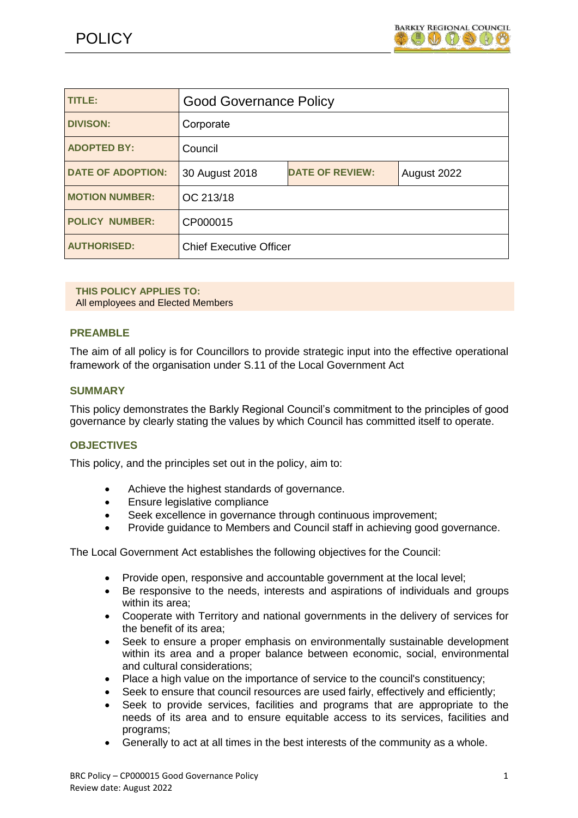| <b>TITLE:</b>            | <b>Good Governance Policy</b>  |                        |             |
|--------------------------|--------------------------------|------------------------|-------------|
| <b>DIVISON:</b>          | Corporate                      |                        |             |
| <b>ADOPTED BY:</b>       | Council                        |                        |             |
| <b>DATE OF ADOPTION:</b> | 30 August 2018                 | <b>DATE OF REVIEW:</b> | August 2022 |
| <b>MOTION NUMBER:</b>    | OC 213/18                      |                        |             |
| <b>POLICY NUMBER:</b>    | CP000015                       |                        |             |
| <b>AUTHORISED:</b>       | <b>Chief Executive Officer</b> |                        |             |

**THIS POLICY APPLIES TO:**  All employees and Elected Members

#### **PREAMBLE**

The aim of all policy is for Councillors to provide strategic input into the effective operational framework of the organisation under S.11 of the Local Government Act

#### **SUMMARY**

This policy demonstrates the Barkly Regional Council's commitment to the principles of good governance by clearly stating the values by which Council has committed itself to operate.

#### **OBJECTIVES**

This policy, and the principles set out in the policy, aim to:

- Achieve the highest standards of governance.
- Ensure legislative compliance
- Seek excellence in governance through continuous improvement;
- Provide guidance to Members and Council staff in achieving good governance.

The Local Government Act establishes the following objectives for the Council:

- Provide open, responsive and accountable government at the local level;
- Be responsive to the needs, interests and aspirations of individuals and groups within its area;
- Cooperate with Territory and national governments in the delivery of services for the benefit of its area;
- Seek to ensure a proper emphasis on environmentally sustainable development within its area and a proper balance between economic, social, environmental and cultural considerations;
- Place a high value on the importance of service to the council's constituency;
- Seek to ensure that council resources are used fairly, effectively and efficiently;
- Seek to provide services, facilities and programs that are appropriate to the needs of its area and to ensure equitable access to its services, facilities and programs;
- Generally to act at all times in the best interests of the community as a whole.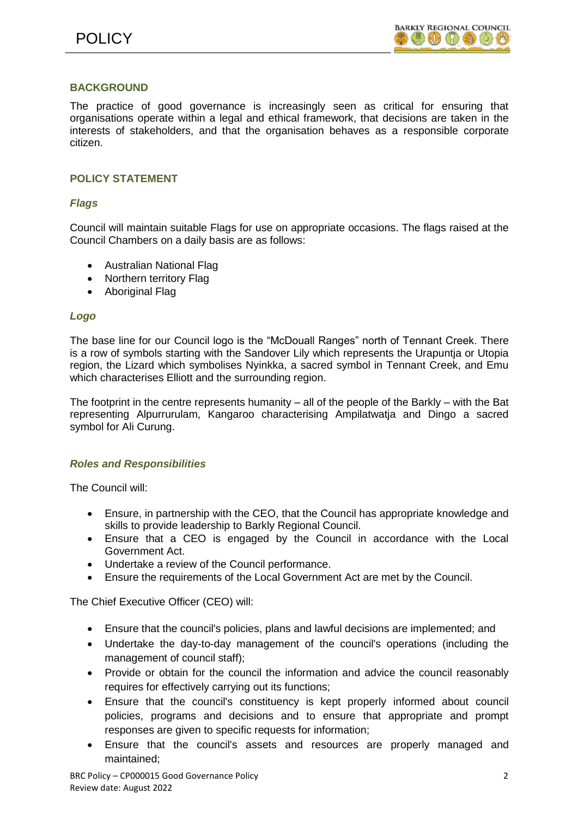# **BACKGROUND**

The practice of good governance is increasingly seen as critical for ensuring that organisations operate within a legal and ethical framework, that decisions are taken in the interests of stakeholders, and that the organisation behaves as a responsible corporate citizen.

# **POLICY STATEMENT**

# *Flags*

Council will maintain suitable Flags for use on appropriate occasions. The flags raised at the Council Chambers on a daily basis are as follows:

- Australian National Flag
- Northern territory Flag
- Aboriginal Flag

# *Logo*

The base line for our Council logo is the "McDouall Ranges" north of Tennant Creek. There is a row of symbols starting with the Sandover Lily which represents the Urapuntja or Utopia region, the Lizard which symbolises Nyinkka, a sacred symbol in Tennant Creek, and Emu which characterises Elliott and the surrounding region.

The footprint in the centre represents humanity – all of the people of the Barkly – with the Bat representing Alpurrurulam, Kangaroo characterising Ampilatwatja and Dingo a sacred symbol for Ali Curung.

# *Roles and Responsibilities*

The Council will:

- Ensure, in partnership with the CEO, that the Council has appropriate knowledge and skills to provide leadership to Barkly Regional Council.
- Ensure that a CEO is engaged by the Council in accordance with the Local Government Act.
- Undertake a review of the Council performance.
- Ensure the requirements of the Local Government Act are met by the Council.

The Chief Executive Officer (CEO) will:

- Ensure that the council's policies, plans and lawful decisions are implemented; and
- Undertake the day-to-day management of the council's operations (including the management of council staff);
- Provide or obtain for the council the information and advice the council reasonably requires for effectively carrying out its functions;
- Ensure that the council's constituency is kept properly informed about council policies, programs and decisions and to ensure that appropriate and prompt responses are given to specific requests for information;
- Ensure that the council's assets and resources are properly managed and maintained;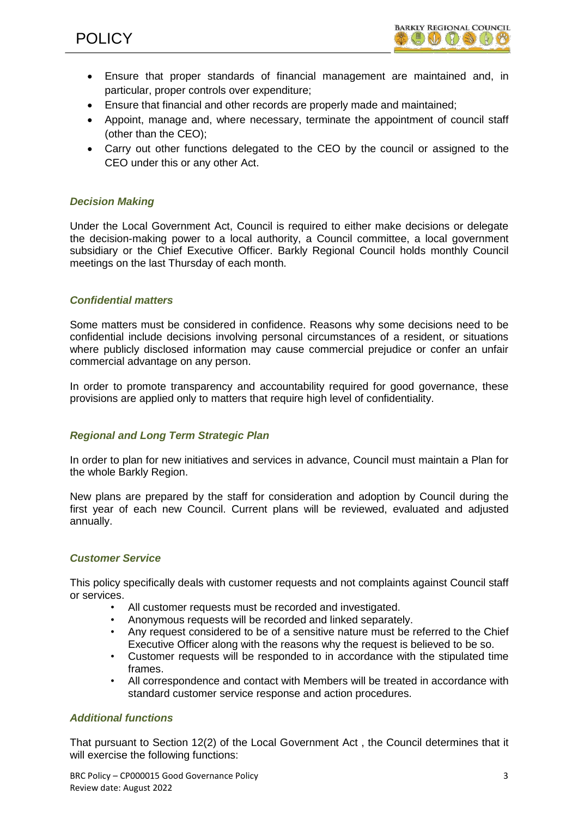- Ensure that proper standards of financial management are maintained and, in particular, proper controls over expenditure;
- Ensure that financial and other records are properly made and maintained;
- Appoint, manage and, where necessary, terminate the appointment of council staff (other than the CEO);
- Carry out other functions delegated to the CEO by the council or assigned to the CEO under this or any other Act.

# *Decision Making*

Under the Local Government Act, Council is required to either make decisions or delegate the decision-making power to a local authority, a Council committee, a local government subsidiary or the Chief Executive Officer. Barkly Regional Council holds monthly Council meetings on the last Thursday of each month.

# *Confidential matters*

Some matters must be considered in confidence. Reasons why some decisions need to be confidential include decisions involving personal circumstances of a resident, or situations where publicly disclosed information may cause commercial prejudice or confer an unfair commercial advantage on any person.

In order to promote transparency and accountability required for good governance, these provisions are applied only to matters that require high level of confidentiality.

# *Regional and Long Term Strategic Plan*

In order to plan for new initiatives and services in advance, Council must maintain a Plan for the whole Barkly Region.

New plans are prepared by the staff for consideration and adoption by Council during the first year of each new Council. Current plans will be reviewed, evaluated and adjusted annually.

# *Customer Service*

This policy specifically deals with customer requests and not complaints against Council staff or services.

- All customer requests must be recorded and investigated.
- Anonymous requests will be recorded and linked separately.
- Any request considered to be of a sensitive nature must be referred to the Chief Executive Officer along with the reasons why the request is believed to be so.
- Customer requests will be responded to in accordance with the stipulated time frames.
- All correspondence and contact with Members will be treated in accordance with standard customer service response and action procedures.

# *Additional functions*

That pursuant to Section 12(2) of the Local Government Act , the Council determines that it will exercise the following functions: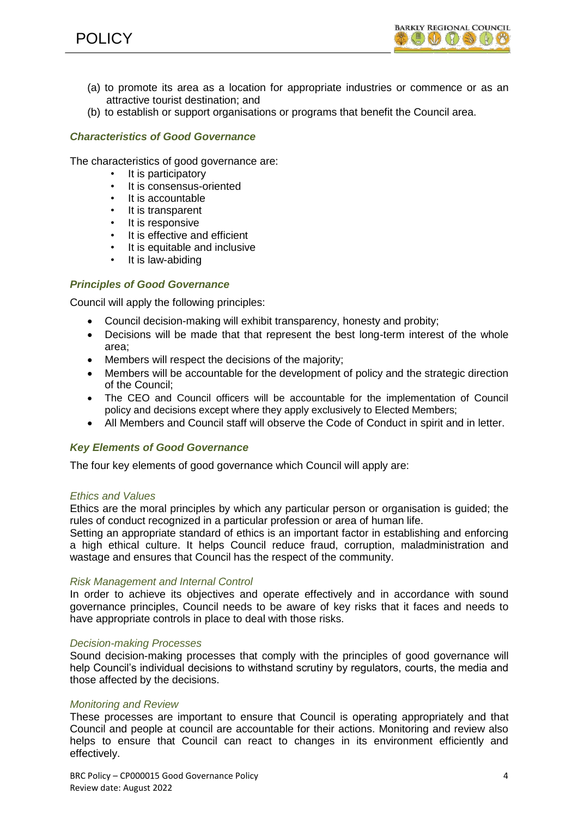

- (a) to promote its area as a location for appropriate industries or commence or as an attractive tourist destination; and
- (b) to establish or support organisations or programs that benefit the Council area.

#### *Characteristics of Good Governance*

The characteristics of good governance are:

- It is participatory
- It is consensus-oriented
- It is accountable
- It is transparent
- It is responsive
- It is effective and efficient
- It is equitable and inclusive
- It is law-abiding

# *Principles of Good Governance*

Council will apply the following principles:

- Council decision-making will exhibit transparency, honesty and probity;
- Decisions will be made that that represent the best long-term interest of the whole area;
- Members will respect the decisions of the majority;
- Members will be accountable for the development of policy and the strategic direction of the Council;
- The CEO and Council officers will be accountable for the implementation of Council policy and decisions except where they apply exclusively to Elected Members;
- All Members and Council staff will observe the Code of Conduct in spirit and in letter.

#### *Key Elements of Good Governance*

The four key elements of good governance which Council will apply are:

#### *Ethics and Values*

Ethics are the moral principles by which any particular person or organisation is guided; the rules of conduct recognized in a particular profession or area of human life.

Setting an appropriate standard of ethics is an important factor in establishing and enforcing a high ethical culture. It helps Council reduce fraud, corruption, maladministration and wastage and ensures that Council has the respect of the community.

#### *Risk Management and Internal Control*

In order to achieve its objectives and operate effectively and in accordance with sound governance principles, Council needs to be aware of key risks that it faces and needs to have appropriate controls in place to deal with those risks.

#### *Decision-making Processes*

Sound decision-making processes that comply with the principles of good governance will help Council's individual decisions to withstand scrutiny by regulators, courts, the media and those affected by the decisions.

#### *Monitoring and Review*

These processes are important to ensure that Council is operating appropriately and that Council and people at council are accountable for their actions. Monitoring and review also helps to ensure that Council can react to changes in its environment efficiently and effectively.